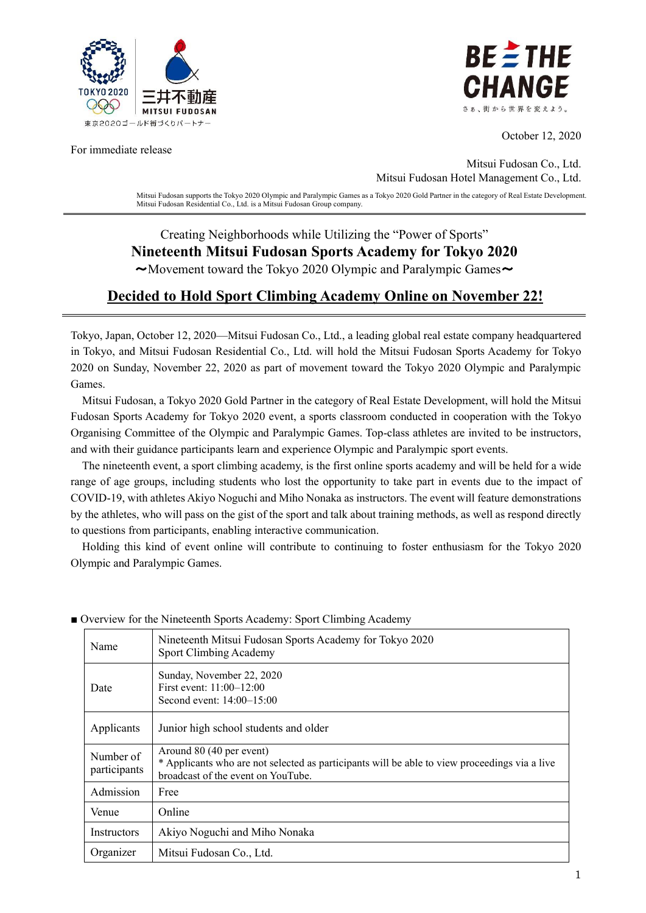

For immediate release



October 12, 2020

Mitsui Fudosan Co., Ltd. Mitsui Fudosan Hotel Management Co., Ltd.

Mitsui Fudosan supports the Tokyo 2020 Olympic and Paralympic Games as a Tokyo 2020 Gold Partner in the category of Real Estate Development. Mitsui Fudosan Residential Co., Ltd. is a Mitsui Fudosan Group company.

#### Creating Neighborhoods while Utilizing the "Power of Sports" **Nineteenth Mitsui Fudosan Sports Academy for Tokyo 2020**  $\sim$ Movement toward the Tokyo 2020 Olympic and Paralympic Games $\sim$

# **Decided to Hold Sport Climbing Academy Online on November 22!**

Tokyo, Japan, October 12, 2020—Mitsui Fudosan Co., Ltd., a leading global real estate company headquartered in Tokyo, and Mitsui Fudosan Residential Co., Ltd. will hold the Mitsui Fudosan Sports Academy for Tokyo 2020 on Sunday, November 22, 2020 as part of movement toward the Tokyo 2020 Olympic and Paralympic Games.

Mitsui Fudosan, a Tokyo 2020 Gold Partner in the category of Real Estate Development, will hold the Mitsui Fudosan Sports Academy for Tokyo 2020 event, a sports classroom conducted in cooperation with the Tokyo Organising Committee of the Olympic and Paralympic Games. Top-class athletes are invited to be instructors, and with their guidance participants learn and experience Olympic and Paralympic sport events.

The nineteenth event, a sport climbing academy, is the first online sports academy and will be held for a wide range of age groups, including students who lost the opportunity to take part in events due to the impact of COVID-19, with athletes Akiyo Noguchi and Miho Nonaka as instructors. The event will feature demonstrations by the athletes, who will pass on the gist of the sport and talk about training methods, as well as respond directly to questions from participants, enabling interactive communication.

Holding this kind of event online will contribute to continuing to foster enthusiasm for the Tokyo 2020 Olympic and Paralympic Games.

| Name                             | Nineteenth Mitsui Fudosan Sports Academy for Tokyo 2020<br>Sport Climbing Academy                                                                               |  |  |
|----------------------------------|-----------------------------------------------------------------------------------------------------------------------------------------------------------------|--|--|
| Date                             | Sunday, November 22, 2020<br>First event: 11:00-12:00<br>Second event: $14:00-15:00$                                                                            |  |  |
| Applicants                       | Junior high school students and older                                                                                                                           |  |  |
| Number of<br>participants        | Around 80 (40 per event)<br>* Applicants who are not selected as participants will be able to view proceedings via a live<br>broadcast of the event on YouTube. |  |  |
| Admission                        | Free                                                                                                                                                            |  |  |
| Venue                            | Online                                                                                                                                                          |  |  |
| <i><u><b>Instructors</b></u></i> | Akiyo Noguchi and Miho Nonaka                                                                                                                                   |  |  |
| Organizer                        | Mitsui Fudosan Co., Ltd.                                                                                                                                        |  |  |

■ Overview for the Nineteenth Sports Academy: Sport Climbing Academy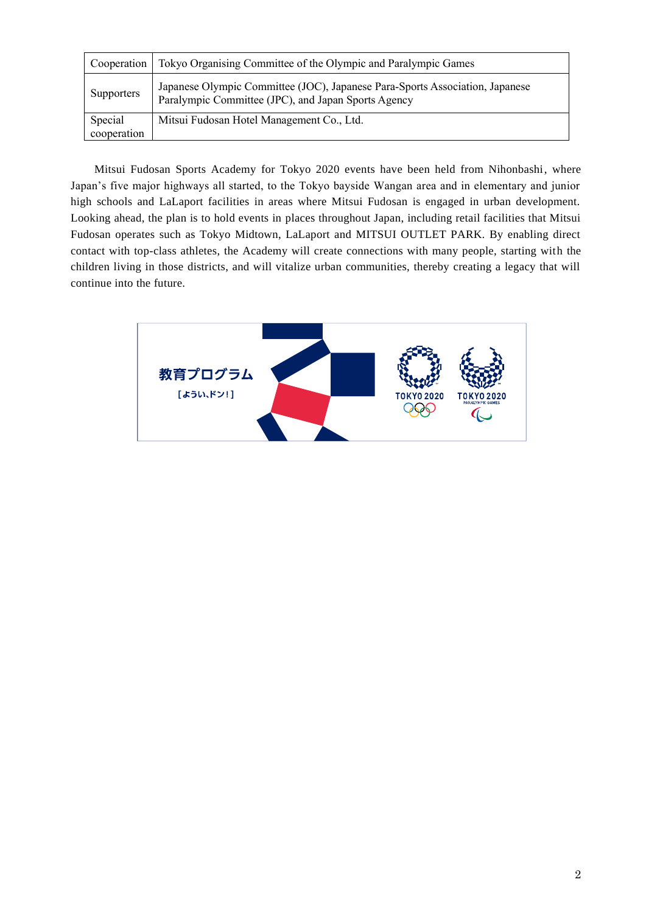| Cooperation            | Tokyo Organising Committee of the Olympic and Paralympic Games                                                                      |
|------------------------|-------------------------------------------------------------------------------------------------------------------------------------|
| <b>Supporters</b>      | Japanese Olympic Committee (JOC), Japanese Para-Sports Association, Japanese<br>Paralympic Committee (JPC), and Japan Sports Agency |
| Special<br>cooperation | Mitsui Fudosan Hotel Management Co., Ltd.                                                                                           |

Mitsui Fudosan Sports Academy for Tokyo 2020 events have been held from Nihonbashi, where Japan's five major highways all started, to the Tokyo bayside Wangan area and in elementary and junior high schools and LaLaport facilities in areas where Mitsui Fudosan is engaged in urban development. Looking ahead, the plan is to hold events in places throughout Japan, including retail facilities that Mitsui Fudosan operates such as Tokyo Midtown, LaLaport and MITSUI OUTLET PARK. By enabling direct contact with top-class athletes, the Academy will create connections with many people, starting with the children living in those districts, and will vitalize urban communities, thereby creating a legacy that will continue into the future.

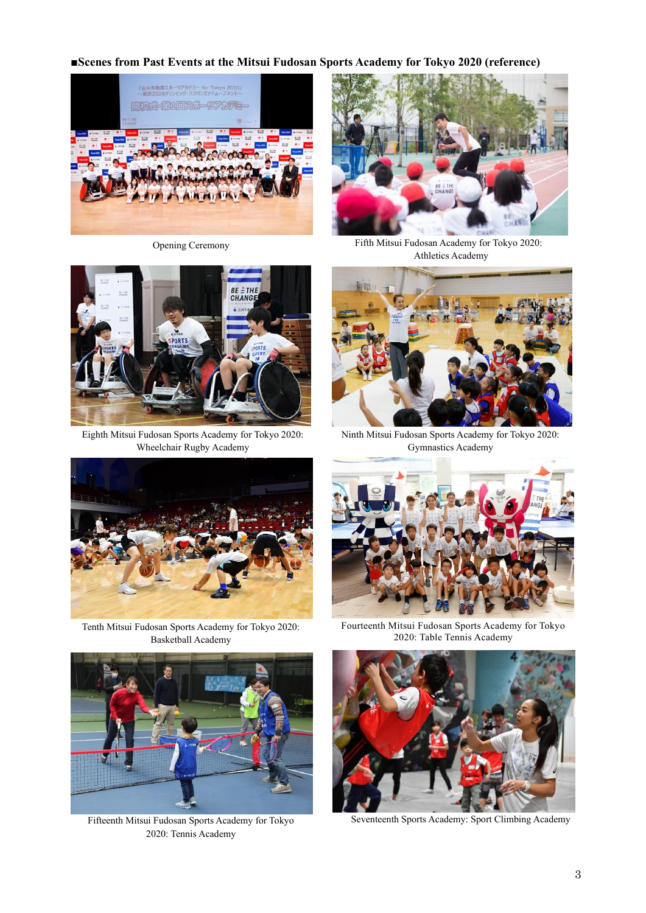#### **■Scenes from Past Events at the Mitsui Fudosan Sports Academy for Tokyo 2020 (reference)**





Eighth Mitsui Fudosan Sports Academy for Tokyo 2020: Wheelchair Rugby Academy



Opening Ceremony Fifth Mitsui Fudosan Academy for Tokyo 2020: Athletics Academy



Ninth Mitsui Fudosan Sports Academy for Tokyo 2020: Gymnastics Academy



Tenth Mitsui Fudosan Sports Academy for Tokyo 2020: Basketball Academy





Fifteenth Mitsui Fudosan Sports Academy for Tokyo Seventeenth Sports Academy: Sport Climbing Academy 2020: Tennis Academy

Fourteenth Mitsui Fudosan Sports Academy for Tokyo 2020: Table Tennis Academy

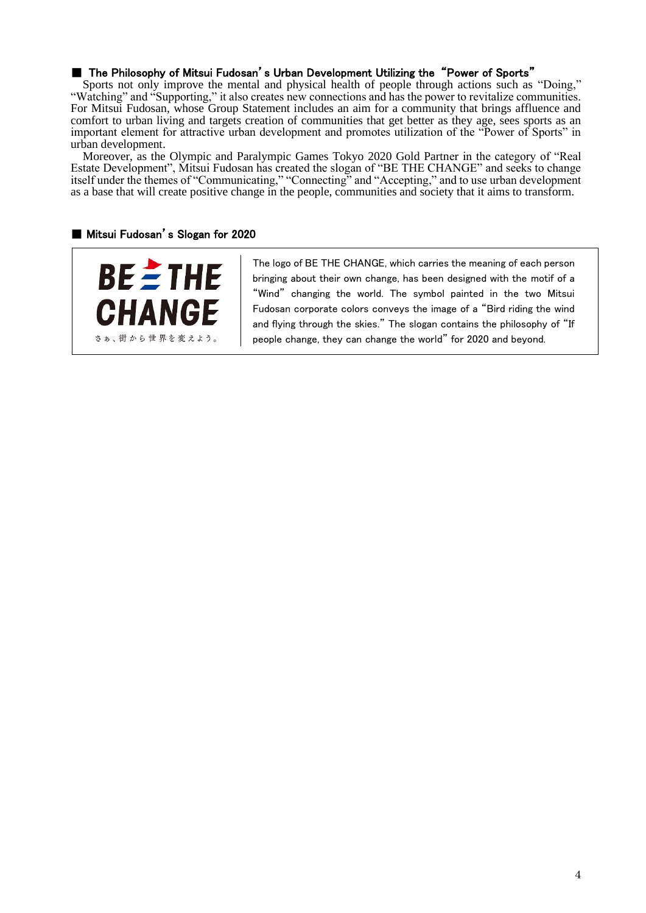# ■ The Philosophy of Mitsui Fudosan's Urban Development Utilizing the "Power of Sports"

Sports not only improve the mental and physical health of people through actions such as "Doing," "Watching" and "Supporting," it also creates new connections and has the power to revitalize communities. For Mitsui Fudosan, whose Group Statement includes an aim for a community that brings affluence and comfort to urban living and targets creation of communities that get better as they age, sees sports as an important element for attractive urban development and promotes utilization of the "Power of Sports" in urban development.

Moreover, as the Olympic and Paralympic Games Tokyo 2020 Gold Partner in the category of "Real Estate Development", Mitsui Fudosan has created the slogan of "BE THE CHANGE" and seeks to change itself under the themes of "Communicating," "Connecting" and "Accepting," and to use urban development as a base that will create positive change in the people, communities and society that it aims to transform.

#### ■ Mitsui Fudosan's Slogan for 2020



The logo of BE THE CHANGE, which carries the meaning of each person bringing about their own change, has been designed with the motif of a "Wind" changing the world. The symbol painted in the two Mitsui Fudosan corporate colors conveys the image of a "Bird riding the wind and flying through the skies." The slogan contains the philosophy of "If people change, they can change the world" for 2020 and beyond.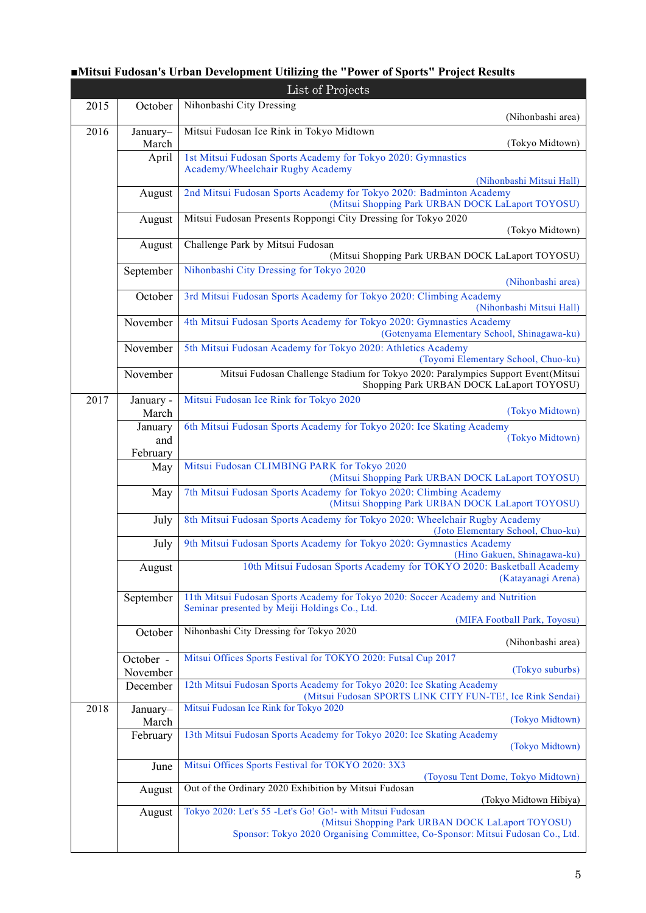| List of Projects |                            |                                                                                                                                                                                                  |  |  |
|------------------|----------------------------|--------------------------------------------------------------------------------------------------------------------------------------------------------------------------------------------------|--|--|
| 2015             | October                    | Nihonbashi City Dressing<br>(Nihonbashi area)                                                                                                                                                    |  |  |
| 2016             | January-<br>March          | Mitsui Fudosan Ice Rink in Tokyo Midtown<br>(Tokyo Midtown)                                                                                                                                      |  |  |
|                  | April                      | 1st Mitsui Fudosan Sports Academy for Tokyo 2020: Gymnastics<br>Academy/Wheelchair Rugby Academy<br>(Nihonbashi Mitsui Hall)                                                                     |  |  |
|                  | August                     | 2nd Mitsui Fudosan Sports Academy for Tokyo 2020: Badminton Academy<br>(Mitsui Shopping Park URBAN DOCK LaLaport TOYOSU)                                                                         |  |  |
|                  | August                     | Mitsui Fudosan Presents Roppongi City Dressing for Tokyo 2020<br>(Tokyo Midtown)                                                                                                                 |  |  |
|                  | August                     | Challenge Park by Mitsui Fudosan<br>(Mitsui Shopping Park URBAN DOCK LaLaport TOYOSU)                                                                                                            |  |  |
|                  | September                  | Nihonbashi City Dressing for Tokyo 2020<br>(Nihonbashi area)                                                                                                                                     |  |  |
|                  | October                    | 3rd Mitsui Fudosan Sports Academy for Tokyo 2020: Climbing Academy<br>(Nihonbashi Mitsui Hall)                                                                                                   |  |  |
|                  | November                   | 4th Mitsui Fudosan Sports Academy for Tokyo 2020: Gymnastics Academy<br>(Gotenyama Elementary School, Shinagawa-ku)                                                                              |  |  |
|                  | November                   | 5th Mitsui Fudosan Academy for Tokyo 2020: Athletics Academy<br>(Toyomi Elementary School, Chuo-ku)                                                                                              |  |  |
|                  | November                   | Mitsui Fudosan Challenge Stadium for Tokyo 2020: Paralympics Support Event(Mitsui<br>Shopping Park URBAN DOCK LaLaport TOYOSU)                                                                   |  |  |
| 2017             | January -<br>March         | Mitsui Fudosan Ice Rink for Tokyo 2020<br>(Tokyo Midtown)                                                                                                                                        |  |  |
|                  | January<br>and<br>February | 6th Mitsui Fudosan Sports Academy for Tokyo 2020: Ice Skating Academy<br>(Tokyo Midtown)                                                                                                         |  |  |
|                  | May                        | Mitsui Fudosan CLIMBING PARK for Tokyo 2020<br>(Mitsui Shopping Park URBAN DOCK LaLaport TOYOSU)                                                                                                 |  |  |
|                  | May                        | 7th Mitsui Fudosan Sports Academy for Tokyo 2020: Climbing Academy<br>(Mitsui Shopping Park URBAN DOCK LaLaport TOYOSU)                                                                          |  |  |
|                  | July                       | 8th Mitsui Fudosan Sports Academy for Tokyo 2020: Wheelchair Rugby Academy<br>(Joto Elementary School, Chuo-ku)                                                                                  |  |  |
|                  | July                       | 9th Mitsui Fudosan Sports Academy for Tokyo 2020: Gymnastics Academy<br>(Hino Gakuen, Shinagawa-ku)                                                                                              |  |  |
|                  | August                     | 10th Mitsui Fudosan Sports Academy for TOKYO 2020: Basketball Academy<br>(Katayanagi Arena)                                                                                                      |  |  |
|                  | September                  | 11th Mitsui Fudosan Sports Academy for Tokyo 2020: Soccer Academy and Nutrition<br>Seminar presented by Meiji Holdings Co., Ltd.                                                                 |  |  |
|                  | October                    | (MIFA Football Park, Toyosu)<br>Nihonbashi City Dressing for Tokyo 2020                                                                                                                          |  |  |
|                  | October -                  | (Nihonbashi area)<br>Mitsui Offices Sports Festival for TOKYO 2020: Futsal Cup 2017<br>(Tokyo suburbs)                                                                                           |  |  |
|                  | November<br>December       | 12th Mitsui Fudosan Sports Academy for Tokyo 2020: Ice Skating Academy                                                                                                                           |  |  |
| 2018             | January-                   | (Mitsui Fudosan SPORTS LINK CITY FUN-TE!, Ice Rink Sendai)<br>Mitsui Fudosan Ice Rink for Tokyo 2020<br>(Tokyo Midtown)                                                                          |  |  |
|                  | March<br>February          | 13th Mitsui Fudosan Sports Academy for Tokyo 2020: Ice Skating Academy<br>(Tokyo Midtown)                                                                                                        |  |  |
|                  | June                       | Mitsui Offices Sports Festival for TOKYO 2020: 3X3                                                                                                                                               |  |  |
|                  | August                     | (Toyosu Tent Dome, Tokyo Midtown)<br>Out of the Ordinary 2020 Exhibition by Mitsui Fudosan<br>(Tokyo Midtown Hibiya)                                                                             |  |  |
|                  | August                     | Tokyo 2020: Let's 55 -Let's Go! Go! - with Mitsui Fudosan<br>(Mitsui Shopping Park URBAN DOCK LaLaport TOYOSU)<br>Sponsor: Tokyo 2020 Organising Committee, Co-Sponsor: Mitsui Fudosan Co., Ltd. |  |  |

# **■Mitsui Fudosan's Urban Development Utilizing the "Power of Sports" Project Results**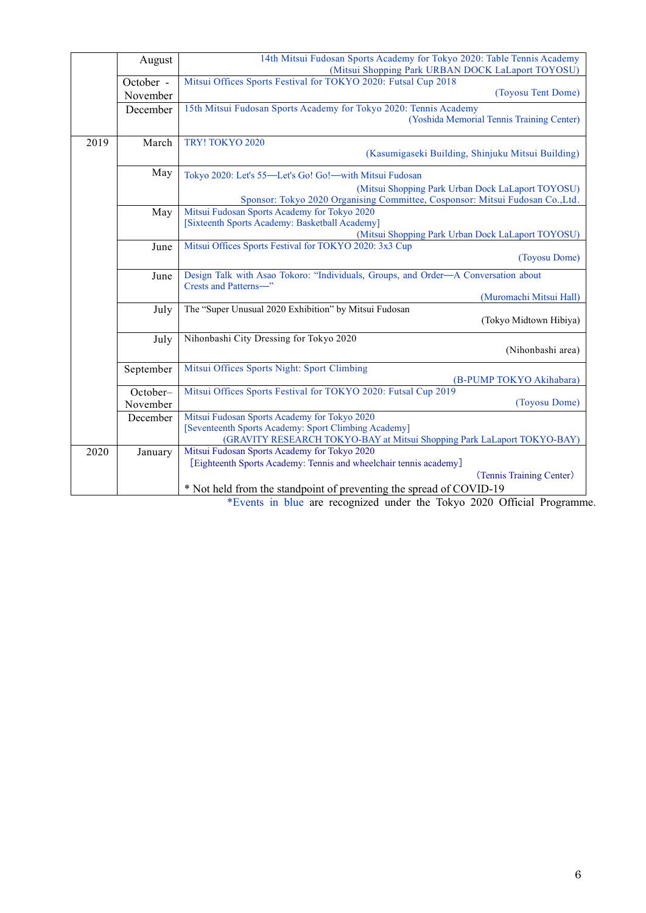|      | August    | 14th Mitsui Fudosan Sports Academy for Tokyo 2020: Table Tennis Academy<br>(Mitsui Shopping Park URBAN DOCK LaLaport TOYOSU)    |
|------|-----------|---------------------------------------------------------------------------------------------------------------------------------|
|      | October - | Mitsui Offices Sports Festival for TOKYO 2020: Futsal Cup 2018                                                                  |
|      | November  | (Toyosu Tent Dome)                                                                                                              |
|      | December  | 15th Mitsui Fudosan Sports Academy for Tokyo 2020: Tennis Academy                                                               |
|      |           | (Yoshida Memorial Tennis Training Center)                                                                                       |
| 2019 | March     | TRY! TOKYO 2020                                                                                                                 |
|      |           | (Kasumigaseki Building, Shinjuku Mitsui Building)                                                                               |
|      | May       | Tokyo 2020: Let's 55-Let's Go! Go!-with Mitsui Fudosan                                                                          |
|      |           | (Mitsui Shopping Park Urban Dock LaLaport TOYOSU)                                                                               |
|      |           | Sponsor: Tokyo 2020 Organising Committee, Cosponsor: Mitsui Fudosan Co., Ltd.                                                   |
|      | May       | Mitsui Fudosan Sports Academy for Tokyo 2020                                                                                    |
|      |           | [Sixteenth Sports Academy: Basketball Academy]                                                                                  |
|      |           | (Mitsui Shopping Park Urban Dock LaLaport TOYOSU)                                                                               |
|      | June      | Mitsui Offices Sports Festival for TOKYO 2020: 3x3 Cup<br>(Toyosu Dome)                                                         |
|      | June      | Design Talk with Asao Tokoro: "Individuals, Groups, and Order-A Conversation about                                              |
|      |           | Crests and Patterns-"                                                                                                           |
|      |           | (Muromachi Mitsui Hall)                                                                                                         |
|      | July      | The "Super Unusual 2020 Exhibition" by Mitsui Fudosan                                                                           |
|      |           | (Tokyo Midtown Hibiya)                                                                                                          |
|      | July      | Nihonbashi City Dressing for Tokyo 2020                                                                                         |
|      |           | (Nihonbashi area)                                                                                                               |
|      | September | Mitsui Offices Sports Night: Sport Climbing                                                                                     |
|      |           | (B-PUMP TOKYO Akihabara)                                                                                                        |
|      | October-  | Mitsui Offices Sports Festival for TOKYO 2020: Futsal Cup 2019                                                                  |
|      | November  | (Toyosu Dome)                                                                                                                   |
|      | December  | Mitsui Fudosan Sports Academy for Tokyo 2020                                                                                    |
|      |           | [Seventeenth Sports Academy: Sport Climbing Academy]<br>(GRAVITY RESEARCH TOKYO-BAY at Mitsui Shopping Park LaLaport TOKYO-BAY) |
| 2020 | January   | Mitsui Fudosan Sports Academy for Tokyo 2020                                                                                    |
|      |           | [Eighteenth Sports Academy: Tennis and wheelchair tennis academy]                                                               |
|      |           | (Tennis Training Center)                                                                                                        |
|      |           | * Not held from the standpoint of preventing the spread of COVID-19                                                             |

\*Events in blue are recognized under the Tokyo 2020 Official Programme.